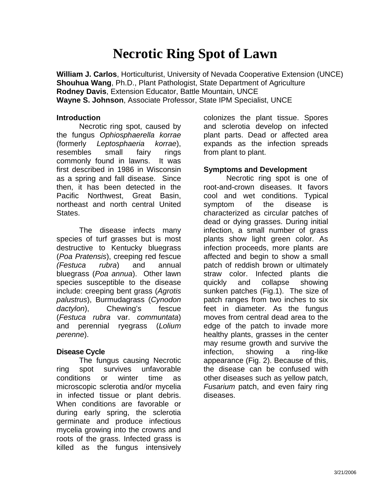# **Necrotic Ring Spot of Lawn**

**William J. Carlos**, Horticulturist, University of Nevada Cooperative Extension (UNCE) **Shouhua Wang**, Ph.D., Plant Pathologist, State Department of Agriculture **Rodney Davis**, Extension Educator, Battle Mountain, UNCE **Wayne S. Johnson**, Associate Professor, State IPM Specialist, UNCE

#### **Introduction**

Necrotic ring spot, caused by the fungus *Ophiosphaerella korrae* (formerly *Leptosphaeria korrae*), resembles small fairy rings commonly found in lawns. It was first described in 1986 in Wisconsin as a spring and fall disease. Since then, it has been detected in the Pacific Northwest, Great Basin, northeast and north central United States.

The disease infects many species of turf grasses but is most destructive to Kentucky bluegrass (*Poa Pratensis*), creeping red fescue *(Festuca rubra*) and annual bluegrass (*Poa annua*). Other lawn species susceptible to the disease include: creeping bent grass (*Agrotis palustrus*), Burmudagrass (*Cynodon dactylon*), Chewing's fescue (*Festuca rubra* var. *communtata*) and perennial ryegrass (*Lolium perenne*).

# **Disease Cycle**

 The fungus causing Necrotic ring spot survives unfavorable conditions or winter time as microscopic sclerotia and/or mycelia in infected tissue or plant debris. When conditions are favorable or during early spring, the sclerotia germinate and produce infectious mycelia growing into the crowns and roots of the grass. Infected grass is killed as the fungus intensively

colonizes the plant tissue. Spores and sclerotia develop on infected plant parts. Dead or affected area expands as the infection spreads from plant to plant.

# **Symptoms and Development**

Necrotic ring spot is one of root-and-crown diseases. It favors cool and wet conditions. Typical symptom of the disease is characterized as circular patches of dead or dying grasses. During initial infection, a small number of grass plants show light green color. As infection proceeds, more plants are affected and begin to show a small patch of reddish brown or ultimately straw color. Infected plants die quickly and collapse showing sunken patches (Fig.1). The size of patch ranges from two inches to six feet in diameter. As the fungus moves from central dead area to the edge of the patch to invade more healthy plants, grasses in the center may resume growth and survive the infection, showing a ring-like appearance (Fig. 2). Because of this, the disease can be confused with other diseases such as yellow patch, *Fusarium* patch, and even fairy ring diseases.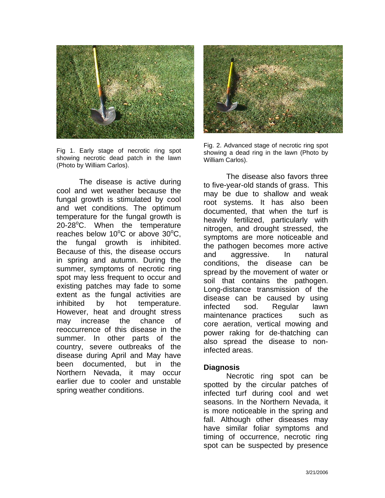

Fig 1. Early stage of necrotic ring spot showing necrotic dead patch in the lawn (Photo by William Carlos).

The disease is active during cool and wet weather because the fungal growth is stimulated by cool and wet conditions. The optimum temperature for the fungal growth is  $20 - 28$ <sup>o</sup>C. When the temperature reaches below 10 $^{\circ}$ C or above 30 $^{\circ}$ C, the fungal growth is inhibited. Because of this, the disease occurs in spring and autumn. During the summer, symptoms of necrotic ring spot may less frequent to occur and existing patches may fade to some extent as the fungal activities are inhibited by hot temperature. However, heat and drought stress may increase the chance of reoccurrence of this disease in the summer. In other parts of the country, severe outbreaks of the disease during April and May have been documented, but in the Northern Nevada, it may occur earlier due to cooler and unstable spring weather conditions.



Fig. 2. Advanced stage of necrotic ring spot showing a dead ring in the lawn (Photo by William Carlos).

The disease also favors three to five-year-old stands of grass. This may be due to shallow and weak root systems. It has also been documented, that when the turf is heavily fertilized, particularly with nitrogen, and drought stressed, the symptoms are more noticeable and the pathogen becomes more active and aggressive. In natural conditions, the disease can be spread by the movement of water or soil that contains the pathogen. Long-distance transmission of the disease can be caused by using infected sod. Regular lawn maintenance practices such as core aeration, vertical mowing and power raking for de-thatching can also spread the disease to noninfected areas.

#### **Diagnosis**

 Necrotic ring spot can be spotted by the circular patches of infected turf during cool and wet seasons. In the Northern Nevada, it is more noticeable in the spring and fall. Although other diseases may have similar foliar symptoms and timing of occurrence, necrotic ring spot can be suspected by presence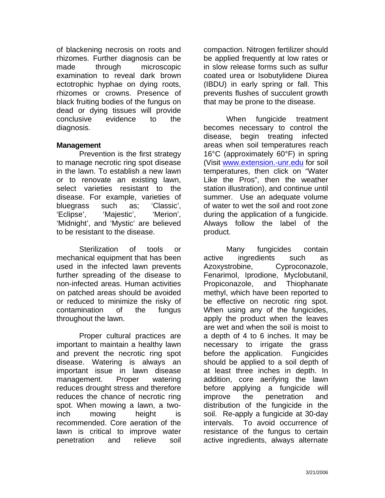of blackening necrosis on roots and rhizomes. Further diagnosis can be made through microscopic examination to reveal dark brown ectotrophic hyphae on dying roots, rhizomes or crowns. Presence of black fruiting bodies of the fungus on dead or dying tissues will provide conclusive evidence to the diagnosis.

# **Management**

Prevention is the first strategy to manage necrotic ring spot disease in the lawn. To establish a new lawn or to renovate an existing lawn, select varieties resistant to the disease. For example, varieties of bluegrass such as; 'Classic', 'Eclipse', 'Majestic', 'Merion', 'Midnight', and 'Mystic' are believed to be resistant to the disease.

Sterilization of tools or mechanical equipment that has been used in the infected lawn prevents further spreading of the disease to non-infected areas. Human activities on patched areas should be avoided or reduced to minimize the risky of contamination of the fungus throughout the lawn.

Proper cultural practices are important to maintain a healthy lawn and prevent the necrotic ring spot disease. Watering is always an important issue in lawn disease management. Proper watering reduces drought stress and therefore reduces the chance of necrotic ring spot. When mowing a lawn, a twoinch mowing height is recommended. Core aeration of the lawn is critical to improve water penetration and relieve soil

compaction. Nitrogen fertilizer should be applied frequently at low rates or in slow release forms such as sulfur coated urea or Isobutylidene Diurea (IBDU) in early spring or fall. This prevents flushes of succulent growth that may be prone to the disease.

When fungicide treatment becomes necessary to control the disease, begin treating infected areas when soil temperatures reach 16°C (approximately 60°F) in spring (Visit www.extension.-unr.edu for soil temperatures, then click on "Water Like the Pros", then the weather station illustration), and continue until summer. Use an adequate volume of water to wet the soil and root zone during the application of a fungicide. Always follow the label of the product.

Many fungicides contain active ingredients such as Azoxystrobine, Cyproconazole, Fenarimol, Iprodione, Myclobutanil, Propiconazole, and Thiophanate methyl, which have been reported to be effective on necrotic ring spot. When using any of the fungicides, apply the product when the leaves are wet and when the soil is moist to a depth of 4 to 6 inches. It may be necessary to irrigate the grass before the application. Fungicides should be applied to a soil depth of at least three inches in depth. In addition, core aerifying the lawn before applying a fungicide will improve the penetration and distribution of the fungicide in the soil. Re-apply a fungicide at 30-day intervals. To avoid occurrence of resistance of the fungus to certain active ingredients, always alternate